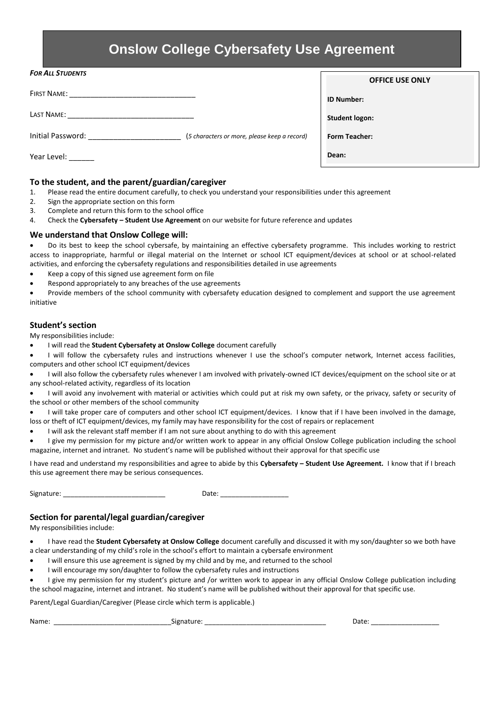# **Onslow College Cybersafety Use Agreement**

| <b>FOR ALL STUDENTS</b>                                           | <b>OFFICE USE ONLY</b> |
|-------------------------------------------------------------------|------------------------|
| <b>FIRST NAME:</b>                                                | <b>ID Number:</b>      |
| LAST NAME:                                                        | <b>Student logon:</b>  |
| Initial Password:<br>(5 characters or more, please keep a record) | <b>Form Teacher:</b>   |
| Year Level:                                                       | Dean:                  |

## **To the student, and the parent/guardian/caregiver**

- 1. Please read the entire document carefully, to check you understand your responsibilities under this agreement
- 2. Sign the appropriate section on this form
- 3. Complete and return this form to the school office
- 4. Check the **Cybersafety – Student Use Agreement** on our website for future reference and updates

## **We understand that Onslow College will:**

 Do its best to keep the school cybersafe, by maintaining an effective cybersafety programme. This includes working to restrict access to inappropriate, harmful or illegal material on the Internet or school ICT equipment/devices at school or at school-related activities, and enforcing the cybersafety regulations and responsibilities detailed in use agreements

- Keep a copy of this signed use agreement form on file
- Respond appropriately to any breaches of the use agreements

 Provide members of the school community with cybersafety education designed to complement and support the use agreement initiative

#### **Student's section**

My responsibilities include:

I will read the **Student Cybersafety at Onslow College** document carefully

 I will follow the cybersafety rules and instructions whenever I use the school's computer network, Internet access facilities, computers and other school ICT equipment/devices

 I will also follow the cybersafety rules whenever I am involved with privately-owned ICT devices/equipment on the school site or at any school-related activity, regardless of its location

 I will avoid any involvement with material or activities which could put at risk my own safety, or the privacy, safety or security of the school or other members of the school community

 I will take proper care of computers and other school ICT equipment/devices. I know that if I have been involved in the damage, loss or theft of ICT equipment/devices, my family may have responsibility for the cost of repairs or replacement

I will ask the relevant staff member if I am not sure about anything to do with this agreement

 I give my permission for my picture and/or written work to appear in any official Onslow College publication including the school magazine, internet and intranet. No student's name will be published without their approval for that specific use

I have read and understand my responsibilities and agree to abide by this **Cybersafety – Student Use Agreement.** I know that if I breach this use agreement there may be serious consequences.

Signature: \_\_\_\_\_\_\_\_\_\_\_\_\_\_\_\_\_\_\_\_\_\_\_\_\_\_\_ Date: \_\_\_\_\_\_\_\_\_\_\_\_\_\_\_\_\_\_

# **Section for parental/legal guardian/caregiver**

My responsibilities include:

 I have read the **Student Cybersafety at Onslow College** document carefully and discussed it with my son/daughter so we both have a clear understanding of my child's role in the school's effort to maintain a cybersafe environment

- I will ensure this use agreement is signed by my child and by me, and returned to the school
- I will encourage my son/daughter to follow the cybersafety rules and instructions

 I give my permission for my student's picture and /or written work to appear in any official Onslow College publication including the school magazine, internet and intranet. No student's name will be published without their approval for that specific use.

Parent/Legal Guardian/Caregiver (Please circle which term is applicable.)

Name: \_\_\_\_\_\_\_\_\_\_\_\_\_\_\_\_\_\_\_\_\_\_\_\_\_\_\_\_\_\_\_Signature: \_\_\_\_\_\_\_\_\_\_\_\_\_\_\_\_\_\_\_\_\_\_\_\_\_\_\_\_\_\_\_\_ Date: \_\_\_\_\_\_\_\_\_\_\_\_\_\_\_\_\_\_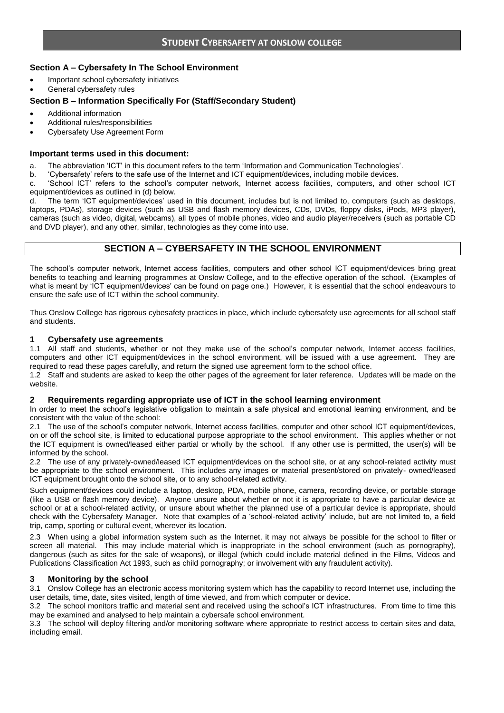## **Section A – Cybersafety In The School Environment**

- Important school cybersafety initiatives
- General cybersafety rules

#### **Section B – Information Specifically For (Staff/Secondary Student)**

- Additional information
- Additional rules/responsibilities
- Cybersafety Use Agreement Form

#### **Important terms used in this document:**

- a. The abbreviation 'ICT' in this document refers to the term 'Information and Communication Technologies'.
- b. 'Cybersafety' refers to the safe use of the Internet and ICT equipment/devices, including mobile devices.

c. 'School ICT' refers to the school's computer network, Internet access facilities, computers, and other school ICT equipment/devices as outlined in (d) below.

d. The term 'ICT equipment/devices' used in this document, includes but is not limited to, computers (such as desktops, laptops, PDAs), storage devices (such as USB and flash memory devices, CDs, DVDs, floppy disks, iPods, MP3 player), cameras (such as video, digital, webcams), all types of mobile phones, video and audio player/receivers (such as portable CD and DVD player), and any other, similar, technologies as they come into use.

# **SECTION A – CYBERSAFETY IN THE SCHOOL ENVIRONMENT**

The school's computer network, Internet access facilities, computers and other school ICT equipment/devices bring great benefits to teaching and learning programmes at Onslow College, and to the effective operation of the school. (Examples of what is meant by 'ICT equipment/devices' can be found on page one.) However, it is essential that the school endeavours to ensure the safe use of ICT within the school community.

Thus Onslow College has rigorous cybesafety practices in place, which include cybersafety use agreements for all school staff and students.

#### **1 Cybersafety use agreements**

1.1 All staff and students, whether or not they make use of the school's computer network, Internet access facilities, computers and other ICT equipment/devices in the school environment, will be issued with a use agreement. They are required to read these pages carefully, and return the signed use agreement form to the school office.

1.2 Staff and students are asked to keep the other pages of the agreement for later reference. Updates will be made on the website.

#### **2 Requirements regarding appropriate use of ICT in the school learning environment**

In order to meet the school's legislative obligation to maintain a safe physical and emotional learning environment, and be consistent with the value of the school:

2.1 The use of the school's computer network, Internet access facilities, computer and other school ICT equipment/devices, on or off the school site, is limited to educational purpose appropriate to the school environment. This applies whether or not the ICT equipment is owned/leased either partial or wholly by the school. If any other use is permitted, the user(s) will be informed by the school.

2.2 The use of any privately-owned/leased ICT equipment/devices on the school site, or at any school-related activity must be appropriate to the school environment. This includes any images or material present/stored on privately- owned/leased ICT equipment brought onto the school site, or to any school-related activity.

Such equipment/devices could include a laptop, desktop, PDA, mobile phone, camera, recording device, or portable storage (like a USB or flash memory device). Anyone unsure about whether or not it is appropriate to have a particular device at school or at a school-related activity, or unsure about whether the planned use of a particular device is appropriate, should check with the Cybersafety Manager. Note that examples of a 'school-related activity' include, but are not limited to, a field trip, camp, sporting or cultural event, wherever its location.

2.3 When using a global information system such as the Internet, it may not always be possible for the school to filter or screen all material. This may include material which is inappropriate in the school environment (such as pornography), dangerous (such as sites for the sale of weapons), or illegal (which could include material defined in the Films, Videos and Publications Classification Act 1993, such as child pornography; or involvement with any fraudulent activity).

#### **3 Monitoring by the school**

3.1 Onslow College has an electronic access monitoring system which has the capability to record Internet use, including the user details, time, date, sites visited, length of time viewed, and from which computer or device.

3.2 The school monitors traffic and material sent and received using the school's ICT infrastructures. From time to time this may be examined and analysed to help maintain a cybersafe school environment.

3.3 The school will deploy filtering and/or monitoring software where appropriate to restrict access to certain sites and data, including email.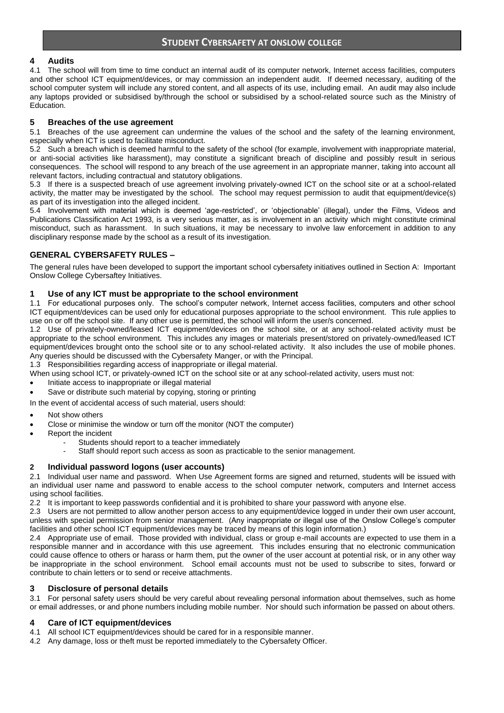# **STUDENT CYBERSAFETY AT ONSLOW COLLEGE**

# **4 Audits**

4.1 The school will from time to time conduct an internal audit of its computer network, Internet access facilities, computers and other school ICT equipment/devices, or may commission an independent audit. If deemed necessary, auditing of the school computer system will include any stored content, and all aspects of its use, including email. An audit may also include any laptops provided or subsidised by/through the school or subsidised by a school-related source such as the Ministry of Education.

## **5 Breaches of the use agreement**

5.1 Breaches of the use agreement can undermine the values of the school and the safety of the learning environment, especially when ICT is used to facilitate misconduct.

5.2 Such a breach which is deemed harmful to the safety of the school (for example, involvement with inappropriate material, or anti-social activities like harassment), may constitute a significant breach of discipline and possibly result in serious consequences. The school will respond to any breach of the use agreement in an appropriate manner, taking into account all relevant factors, including contractual and statutory obligations.

5.3 If there is a suspected breach of use agreement involving privately-owned ICT on the school site or at a school-related activity, the matter may be investigated by the school. The school may request permission to audit that equipment/device(s) as part of its investigation into the alleged incident.

5.4 Involvement with material which is deemed 'age-restricted', or 'objectionable' (illegal), under the Films, Videos and Publications Classification Act 1993, is a very serious matter, as is involvement in an activity which might constitute criminal misconduct, such as harassment. In such situations, it may be necessary to involve law enforcement in addition to any disciplinary response made by the school as a result of its investigation.

# **GENERAL CYBERSAFETY RULES –**

The general rules have been developed to support the important school cybersafety initiatives outlined in Section A: Important Onslow College Cybersaftey Initiatives.

## **1 Use of any ICT must be appropriate to the school environment**

1.1 For educational purposes only. The school's computer network, Internet access facilities, computers and other school ICT equipment/devices can be used only for educational purposes appropriate to the school environment. This rule applies to use on or off the school site. If any other use is permitted, the school will inform the user/s concerned.

1.2 Use of privately-owned/leased ICT equipment/devices on the school site, or at any school-related activity must be appropriate to the school environment. This includes any images or materials present/stored on privately-owned/leased ICT equipment/devices brought onto the school site or to any school-related activity. It also includes the use of mobile phones. Any queries should be discussed with the Cybersafety Manger, or with the Principal.

1.3 Responsibilities regarding access of inappropriate or illegal material.

When using school ICT, or privately-owned ICT on the school site or at any school-related activity, users must not:

- Initiate access to inappropriate or illegal material
- Save or distribute such material by copying, storing or printing

In the event of accidental access of such material, users should:

- Not show others
- Close or minimise the window or turn off the monitor (NOT the computer)
- Report the incident
	- Students should report to a teacher immediately
		- Staff should report such access as soon as practicable to the senior management.

#### **2 Individual password logons (user accounts)**

2.1 Individual user name and password. When Use Agreement forms are signed and returned, students will be issued with an individual user name and password to enable access to the school computer network, computers and Internet access using school facilities.

2.2 It is important to keep passwords confidential and it is prohibited to share your password with anyone else.

2.3 Users are not permitted to allow another person access to any equipment/device logged in under their own user account, unless with special permission from senior management. (Any inappropriate or illegal use of the Onslow College's computer facilities and other school ICT equipment/devices may be traced by means of this login information.)

2.4 Appropriate use of email. Those provided with individual, class or group e-mail accounts are expected to use them in a responsible manner and in accordance with this use agreement. This includes ensuring that no electronic communication could cause offence to others or harass or harm them, put the owner of the user account at potential risk, or in any other way be inappropriate in the school environment. School email accounts must not be used to subscribe to sites, forward or contribute to chain letters or to send or receive attachments.

# **3 Disclosure of personal details**

3.1 For personal safety users should be very careful about revealing personal information about themselves, such as home or email addresses, or and phone numbers including mobile number. Nor should such information be passed on about others.

#### **4 Care of ICT equipment/devices**

- 4.1 All school ICT equipment/devices should be cared for in a responsible manner.
- 4.2 Any damage, loss or theft must be reported immediately to the Cybersafety Officer.